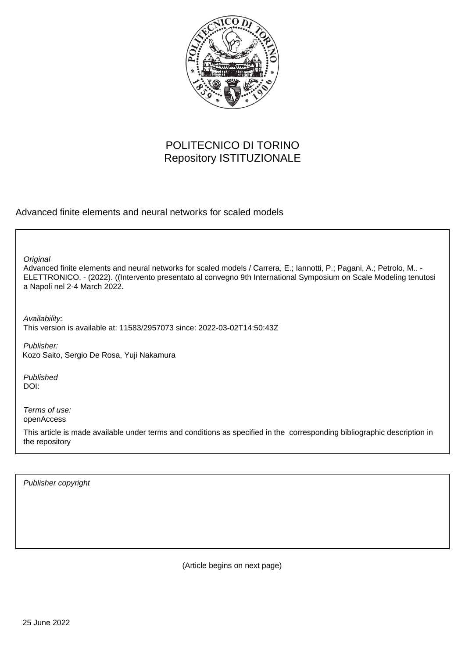

## POLITECNICO DI TORINO Repository ISTITUZIONALE

Advanced finite elements and neural networks for scaled models

**Original** 

Advanced finite elements and neural networks for scaled models / Carrera, E.; Iannotti, P.; Pagani, A.; Petrolo, M.. - ELETTRONICO. - (2022). ((Intervento presentato al convegno 9th International Symposium on Scale Modeling tenutosi a Napoli nel 2-4 March 2022.

Availability: This version is available at: 11583/2957073 since: 2022-03-02T14:50:43Z

Publisher: Kozo Saito, Sergio De Rosa, Yuji Nakamura

Published DOI:

Terms of use: openAccess

This article is made available under terms and conditions as specified in the corresponding bibliographic description in the repository

Publisher copyright

(Article begins on next page)